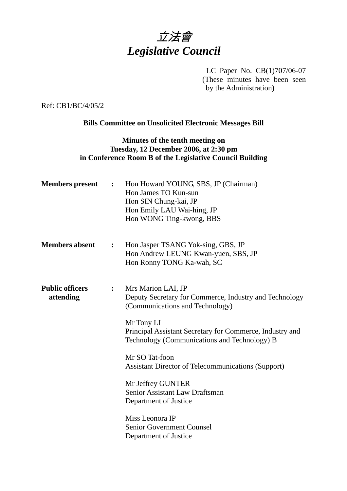# 立法會 *Legislative Council*

LC Paper No. CB(1)707/06-07 (These minutes have been seen by the Administration)

Ref: CB1/BC/4/05/2

## **Bills Committee on Unsolicited Electronic Messages Bill**

## **Minutes of the tenth meeting on Tuesday, 12 December 2006, at 2:30 pm in Conference Room B of the Legislative Council Building**

| <b>Members</b> present              | $\ddot{\cdot}$ | Hon Howard YOUNG, SBS, JP (Chairman)<br>Hon James TO Kun-sun<br>Hon SIN Chung-kai, JP<br>Hon Emily LAU Wai-hing, JP<br>Hon WONG Ting-kwong, BBS |
|-------------------------------------|----------------|-------------------------------------------------------------------------------------------------------------------------------------------------|
| <b>Members absent</b>               | :              | Hon Jasper TSANG Yok-sing, GBS, JP<br>Hon Andrew LEUNG Kwan-yuen, SBS, JP<br>Hon Ronny TONG Ka-wah, SC                                          |
| <b>Public officers</b><br>attending | $\ddot{\cdot}$ | Mrs Marion LAI, JP<br>Deputy Secretary for Commerce, Industry and Technology<br>(Communications and Technology)                                 |
|                                     |                | Mr Tony LI<br>Principal Assistant Secretary for Commerce, Industry and<br>Technology (Communications and Technology) B                          |
|                                     |                | Mr SO Tat-foon                                                                                                                                  |
|                                     |                | <b>Assistant Director of Telecommunications (Support)</b>                                                                                       |
|                                     |                | Mr Jeffrey GUNTER                                                                                                                               |
|                                     |                | <b>Senior Assistant Law Draftsman</b>                                                                                                           |
|                                     |                | Department of Justice                                                                                                                           |
|                                     |                | Miss Leonora IP                                                                                                                                 |
|                                     |                | Senior Government Counsel                                                                                                                       |
|                                     |                | Department of Justice                                                                                                                           |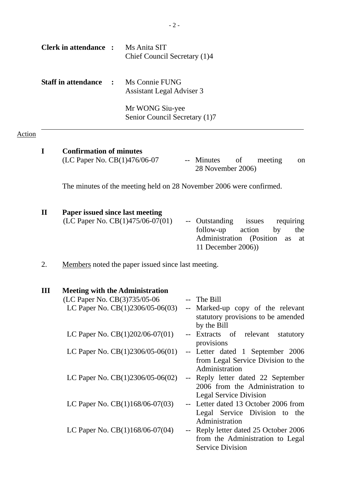|        |              | <b>Clerk in attendance :</b>                                   | Ms Anita SIT<br>Chief Council Secretary (1)4                                 |                          |                                                                                                                                      |
|--------|--------------|----------------------------------------------------------------|------------------------------------------------------------------------------|--------------------------|--------------------------------------------------------------------------------------------------------------------------------------|
|        |              | <b>Staff in attendance</b>                                     | Ms Connie FUNG<br>Assistant Legal Adviser 3                                  |                          |                                                                                                                                      |
|        |              |                                                                | Mr WONG Siu-yee<br>Senior Council Secretary (1)7                             |                          |                                                                                                                                      |
| Action |              |                                                                |                                                                              |                          |                                                                                                                                      |
|        | $\bf{I}$     | <b>Confirmation of minutes</b><br>(LC Paper No. CB(1)476/06-07 |                                                                              |                          | -- Minutes<br>of<br>meeting<br>on<br>28 November 2006)                                                                               |
|        |              |                                                                |                                                                              |                          | The minutes of the meeting held on 28 November 2006 were confirmed.                                                                  |
|        | $\mathbf{I}$ | Paper issued since last meeting                                | (LC Paper No. CB(1)475/06-07(01)                                             |                          | -- Outstanding<br>requiring<br>issues<br>follow-up<br>action<br>by<br>the<br>Administration (Position as<br>at<br>11 December 2006)) |
|        | 2.           |                                                                | Members noted the paper issued since last meeting.                           |                          |                                                                                                                                      |
|        | III          | (LC Paper No. CB(3)735/05-06                                   | <b>Meeting with the Administration</b><br>LC Paper No. $CB(1)2306/05-06(03)$ |                          | -- The Bill<br>-- Marked-up copy of the relevant<br>statutory provisions to be amended<br>by the Bill                                |
|        |              |                                                                | LC Paper No. $CB(1)202/06-07(01)$                                            |                          | Extracts of relevant<br>statutory                                                                                                    |
|        |              |                                                                | LC Paper No. $CB(1)2306/05-06(01)$                                           |                          | provisions<br>-- Letter dated 1 September 2006<br>from Legal Service Division to the<br>Administration                               |
|        |              |                                                                | LC Paper No. $CB(1)2306/05-06(02)$                                           |                          | -- Reply letter dated 22 September<br>2006 from the Administration to<br><b>Legal Service Division</b>                               |
|        |              |                                                                | LC Paper No. $CB(1)168/06-07(03)$                                            |                          | -- Letter dated 13 October 2006 from<br>Legal Service Division to the<br>Administration                                              |
|        |              |                                                                | LC Paper No. $CB(1)168/06-07(04)$                                            | $\overline{\phantom{a}}$ | Reply letter dated 25 October 2006<br>from the Administration to Legal<br><b>Service Division</b>                                    |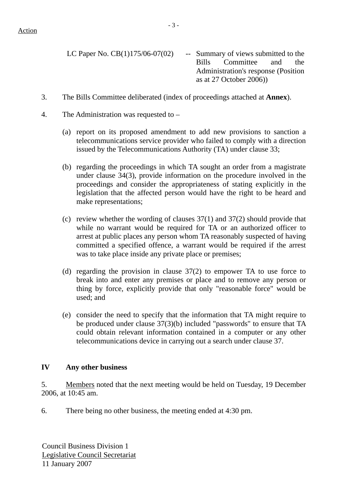LC Paper No.  $CB(1)175/06-07(02)$  -- Summary of views submitted to the Bills Committee and the Administration's response (Position as at 27 October 2006))

- 3. The Bills Committee deliberated (index of proceedings attached at **Annex**).
- 4. The Administration was requested to
	- (a) report on its proposed amendment to add new provisions to sanction a telecommunications service provider who failed to comply with a direction issued by the Telecommunications Authority (TA) under clause 33;
	- (b) regarding the proceedings in which TA sought an order from a magistrate under clause 34(3), provide information on the procedure involved in the proceedings and consider the appropriateness of stating explicitly in the legislation that the affected person would have the right to be heard and make representations;
	- (c) review whether the wording of clauses 37(1) and 37(2) should provide that while no warrant would be required for TA or an authorized officer to arrest at public places any person whom TA reasonably suspected of having committed a specified offence, a warrant would be required if the arrest was to take place inside any private place or premises:
	- (d) regarding the provision in clause 37(2) to empower TA to use force to break into and enter any premises or place and to remove any person or thing by force, explicitly provide that only "reasonable force" would be used; and
	- (e) consider the need to specify that the information that TA might require to be produced under clause 37(3)(b) included "passwords" to ensure that TA could obtain relevant information contained in a computer or any other telecommunications device in carrying out a search under clause 37.

### **IV Any other business**

5. Members noted that the next meeting would be held on Tuesday, 19 December 2006, at 10:45 am.

6. There being no other business, the meeting ended at 4:30 pm.

Council Business Division 1 Legislative Council Secretariat 11 January 2007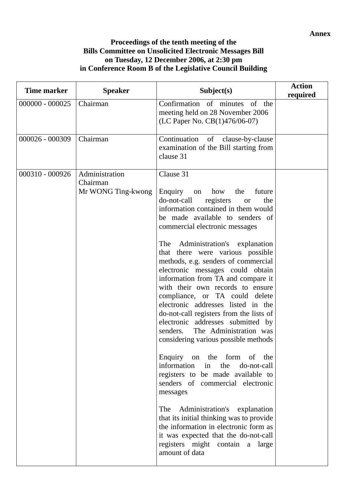**Annex** 

#### **Proceedings of the tenth meeting of the Bills Committee on Unsolicited Electronic Messages Bill on Tuesday, 12 December 2006, at 2:30 pm in Conference Room B of the Legislative Council Building**

| Time marker       | <b>Speaker</b>                                   | Subject(s)                                                                                                                                                                                                                                                                                                                                                                                                                                                                                                                                                                                                                                                                                                                                                                                                                                                                                                                                                                                                                                                      | <b>Action</b><br>required |
|-------------------|--------------------------------------------------|-----------------------------------------------------------------------------------------------------------------------------------------------------------------------------------------------------------------------------------------------------------------------------------------------------------------------------------------------------------------------------------------------------------------------------------------------------------------------------------------------------------------------------------------------------------------------------------------------------------------------------------------------------------------------------------------------------------------------------------------------------------------------------------------------------------------------------------------------------------------------------------------------------------------------------------------------------------------------------------------------------------------------------------------------------------------|---------------------------|
| $000000 - 000025$ | Chairman                                         | Confirmation of minutes of the<br>meeting held on 28 November 2006<br>(LC Paper No. CB(1)476/06-07)                                                                                                                                                                                                                                                                                                                                                                                                                                                                                                                                                                                                                                                                                                                                                                                                                                                                                                                                                             |                           |
| 000026 - 000309   | Chairman                                         | Continuation<br>of clause-by-clause<br>examination of the Bill starting from<br>clause 31                                                                                                                                                                                                                                                                                                                                                                                                                                                                                                                                                                                                                                                                                                                                                                                                                                                                                                                                                                       |                           |
| 000310 - 000926   | Administration<br>Chairman<br>Mr WONG Ting-kwong | Clause 31<br>Enquiry on<br>how<br>the<br>future<br>registers<br>do-not-call<br>the<br><b>or</b><br>information contained in them would<br>be made available to senders of<br>commercial electronic messages<br>The Administration's explanation<br>that there were various possible<br>methods, e.g. senders of commercial<br>electronic messages could obtain<br>information from TA and compare it<br>with their own records to ensure<br>compliance, or TA could delete<br>electronic addresses listed in the<br>do-not-call registers from the lists of<br>electronic addresses submitted by<br>The Administration was<br>senders.<br>considering various possible methods<br>Enquiry on the form of the<br>information in<br>the<br>do-not-call<br>registers to be made available to<br>senders of commercial electronic<br>messages<br>The Administration's explanation<br>that its initial thinking was to provide<br>the information in electronic form as<br>it was expected that the do-not-call<br>registers might contain a large<br>amount of data |                           |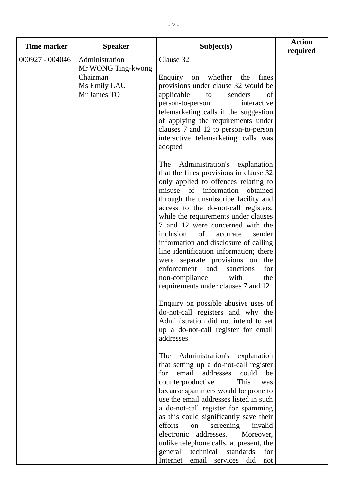| Time marker     | <b>Speaker</b>                                                                  | Subject(s)                                                                                                                                                                                                                                                                                                                                                                                                                                                                                                                                                                                                                                                                                                          | <b>Action</b><br>required |
|-----------------|---------------------------------------------------------------------------------|---------------------------------------------------------------------------------------------------------------------------------------------------------------------------------------------------------------------------------------------------------------------------------------------------------------------------------------------------------------------------------------------------------------------------------------------------------------------------------------------------------------------------------------------------------------------------------------------------------------------------------------------------------------------------------------------------------------------|---------------------------|
| 000927 - 004046 | Administration<br>Mr WONG Ting-kwong<br>Chairman<br>Ms Emily LAU<br>Mr James TO | Clause 32<br>Enquiry on whether the fines<br>provisions under clause 32 would be<br>applicable<br>to<br>senders<br>of<br>person-to-person<br>interactive<br>telemarketing calls if the suggestion<br>of applying the requirements under<br>clauses 7 and 12 to person-to-person<br>interactive telemarketing calls was<br>adopted                                                                                                                                                                                                                                                                                                                                                                                   |                           |
|                 |                                                                                 | Administration's explanation<br>The<br>that the fines provisions in clause 32<br>only applied to offences relating to<br>misuse of information<br>obtained<br>through the unsubscribe facility and<br>access to the do-not-call registers,<br>while the requirements under clauses<br>7 and 12 were concerned with the<br>inclusion<br>of<br>sender<br>accurate<br>information and disclosure of calling<br>line identification information; there<br>were separate provisions on<br>the<br>enforcement<br>for<br>and<br>sanctions<br>non-compliance<br>with<br>the<br>requirements under clauses 7 and 12                                                                                                          |                           |
|                 |                                                                                 | Enquiry on possible abusive uses of<br>do-not-call registers and why the<br>Administration did not intend to set<br>up a do-not-call register for email<br>addresses<br>Administration's explanation<br>The<br>that setting up a do-not-call register<br>email addresses<br>could<br>for<br>be<br>counterproductive.<br>This<br>was<br>because spammers would be prone to<br>use the email addresses listed in such<br>a do-not-call register for spamming<br>as this could significantly save their<br>efforts<br>screening<br>on<br>invalid<br>electronic<br>addresses.<br>Moreover,<br>unlike telephone calls, at present, the<br>general<br>technical<br>standards<br>for<br>Internet email services did<br>not |                           |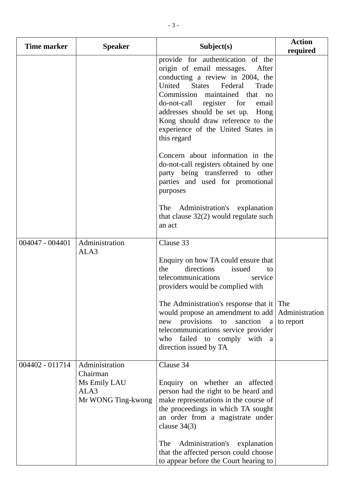| Time marker     | <b>Speaker</b>                                                           | Subject(s)                                                                                                                                                                                                                                                                                                                                                                       | <b>Action</b><br>required          |
|-----------------|--------------------------------------------------------------------------|----------------------------------------------------------------------------------------------------------------------------------------------------------------------------------------------------------------------------------------------------------------------------------------------------------------------------------------------------------------------------------|------------------------------------|
|                 |                                                                          | provide for authentication of the<br>origin of email messages.<br>After<br>conducting a review in 2004, the<br>United<br><b>States</b><br>Federal<br>Trade<br>Commission maintained that<br>$\overline{p}$<br>do-not-call register for<br>email<br>addresses should be set up.<br>Hong<br>Kong should draw reference to the<br>experience of the United States in<br>this regard |                                    |
|                 |                                                                          | Concern about information in the<br>do-not-call registers obtained by one<br>party being transferred to other<br>parties and used for promotional<br>purposes                                                                                                                                                                                                                    |                                    |
|                 |                                                                          | The Administration's explanation<br>that clause $32(2)$ would regulate such<br>an act                                                                                                                                                                                                                                                                                            |                                    |
| 004047 - 004401 | Administration<br>ALA3                                                   | Clause 33                                                                                                                                                                                                                                                                                                                                                                        |                                    |
|                 |                                                                          | Enquiry on how TA could ensure that<br>directions<br>the<br>issued<br>to<br>telecommunications<br>service<br>providers would be complied with                                                                                                                                                                                                                                    |                                    |
|                 |                                                                          | The Administration's response that it<br>would propose an amendment to add<br>provisions<br>sanction<br>to<br>new<br>$\mathbf a$<br>telecommunications service provider<br>failed to comply<br>with a<br>who<br>direction issued by TA                                                                                                                                           | The<br>Administration<br>to report |
| 004402 - 011714 | Administration<br>Chairman<br>Ms Emily LAU<br>ALA3<br>Mr WONG Ting-kwong | Clause 34<br>Enquiry on whether an affected<br>person had the right to be heard and<br>make representations in the course of<br>the proceedings in which TA sought<br>an order from a magistrate under<br>clause $34(3)$<br>The<br>Administration's<br>explanation<br>that the affected person could choose<br>to appear before the Court hearing to                             |                                    |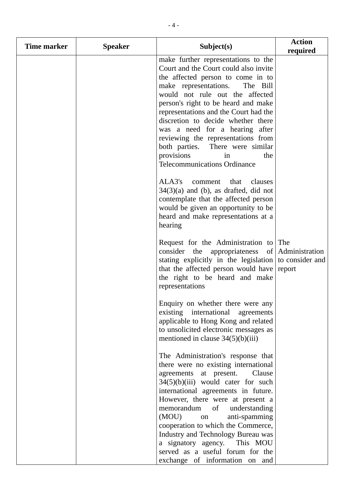| Time marker | <b>Speaker</b> | Subject(s)                                                                                                                                                                                                                                                                                                                                                                                                                                                                                    | <b>Action</b><br>required |
|-------------|----------------|-----------------------------------------------------------------------------------------------------------------------------------------------------------------------------------------------------------------------------------------------------------------------------------------------------------------------------------------------------------------------------------------------------------------------------------------------------------------------------------------------|---------------------------|
|             |                | make further representations to the<br>Court and the Court could also invite<br>the affected person to come in to<br>make representations.<br>The Bill<br>would not rule out the affected<br>person's right to be heard and make<br>representations and the Court had the<br>discretion to decide whether there<br>was a need for a hearing after<br>reviewing the representations from<br>both parties. There were similar<br>provisions<br>the<br>in<br><b>Telecommunications Ordinance</b> |                           |
|             |                | ALA3's<br>comment<br>that<br>clauses<br>$34(3)(a)$ and (b), as drafted, did not<br>contemplate that the affected person<br>would be given an opportunity to be<br>heard and make representations at a<br>hearing                                                                                                                                                                                                                                                                              |                           |
|             |                | Request for the Administration to The<br>consider the appropriateness of<br>stating explicitly in the legislation to consider and<br>that the affected person would have<br>the right to be heard and make<br>representations                                                                                                                                                                                                                                                                 | Administration<br>report  |
|             |                | Enquiry on whether there were any<br>existing international agreements<br>applicable to Hong Kong and related<br>to unsolicited electronic messages as<br>mentioned in clause $34(5)(b)(iii)$                                                                                                                                                                                                                                                                                                 |                           |
|             |                | The Administration's response that<br>there were no existing international<br>agreements at present.<br>Clause<br>$34(5)(b)(iii)$ would cater for such<br>international agreements in future.<br>However, there were at present a<br>memorandum<br>of<br>understanding<br>(MOU)<br>anti-spamming<br>on<br>cooperation to which the Commerce,<br>Industry and Technology Bureau was                                                                                                            |                           |
|             |                | a signatory agency. This MOU<br>served as a useful forum for the<br>exchange of information on and                                                                                                                                                                                                                                                                                                                                                                                            |                           |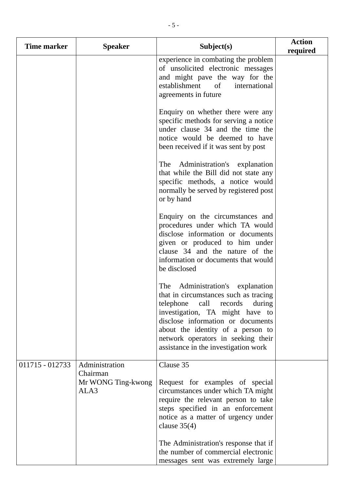| Time marker     | <b>Speaker</b>                                           | Subject(s)                                                                                                                                                                                                                                                                                                     | <b>Action</b><br>required |
|-----------------|----------------------------------------------------------|----------------------------------------------------------------------------------------------------------------------------------------------------------------------------------------------------------------------------------------------------------------------------------------------------------------|---------------------------|
|                 |                                                          | experience in combating the problem<br>of unsolicited electronic messages<br>and might pave the way for the<br>establishment<br>of<br>international<br>agreements in future                                                                                                                                    |                           |
|                 |                                                          | Enquiry on whether there were any<br>specific methods for serving a notice<br>under clause 34 and the time the<br>notice would be deemed to have<br>been received if it was sent by post                                                                                                                       |                           |
|                 |                                                          | The<br>Administration's explanation<br>that while the Bill did not state any<br>specific methods, a notice would<br>normally be served by registered post<br>or by hand                                                                                                                                        |                           |
|                 |                                                          | Enquiry on the circumstances and<br>procedures under which TA would<br>disclose information or documents<br>given or produced to him under<br>clause 34 and the nature of the<br>information or documents that would<br>be disclosed                                                                           |                           |
|                 |                                                          | Administration's explanation<br>The<br>that in circumstances such as tracing<br>telephone call<br>records<br>during<br>investigation, TA might have to<br>disclose information or documents<br>about the identity of a person to<br>network operators in seeking their<br>assistance in the investigation work |                           |
| 011715 - 012733 | Administration<br>Chairman<br>Mr WONG Ting-kwong<br>ALA3 | Clause 35<br>Request for examples of special<br>circumstances under which TA might<br>require the relevant person to take<br>steps specified in an enforcement<br>notice as a matter of urgency under<br>clause $35(4)$<br>The Administration's response that if                                               |                           |
|                 |                                                          | the number of commercial electronic<br>messages sent was extremely large                                                                                                                                                                                                                                       |                           |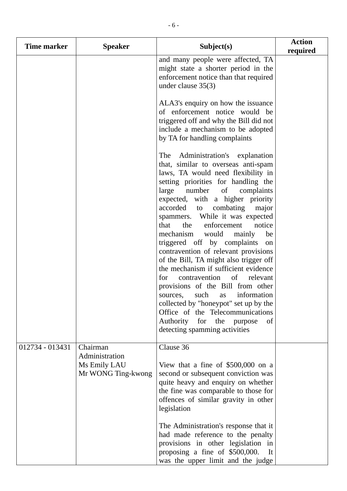| Time marker     | <b>Speaker</b>                                                   | Subject(s)                                                                                                                                                                                                                                                                                                                                                                                                                                                                                                                                                                                                                                                                                                                                                                                                                       | <b>Action</b><br>required |
|-----------------|------------------------------------------------------------------|----------------------------------------------------------------------------------------------------------------------------------------------------------------------------------------------------------------------------------------------------------------------------------------------------------------------------------------------------------------------------------------------------------------------------------------------------------------------------------------------------------------------------------------------------------------------------------------------------------------------------------------------------------------------------------------------------------------------------------------------------------------------------------------------------------------------------------|---------------------------|
|                 |                                                                  | and many people were affected, TA<br>might state a shorter period in the<br>enforcement notice than that required<br>under clause $35(3)$                                                                                                                                                                                                                                                                                                                                                                                                                                                                                                                                                                                                                                                                                        |                           |
|                 |                                                                  | ALA3's enquiry on how the issuance<br>of enforcement notice would be<br>triggered off and why the Bill did not<br>include a mechanism to be adopted<br>by TA for handling complaints                                                                                                                                                                                                                                                                                                                                                                                                                                                                                                                                                                                                                                             |                           |
|                 |                                                                  | The Administration's explanation<br>that, similar to overseas anti-spam<br>laws, TA would need flexibility in<br>setting priorities for handling the<br>of<br>large<br>number<br>complaints<br>expected, with a higher priority<br>combating<br>accorded to<br>major<br>spammers. While it was expected<br>the<br>enforcement<br>notice<br>that<br>mechanism would<br>be<br>mainly<br>triggered off by complaints<br>on<br>contravention of relevant provisions<br>of the Bill, TA might also trigger off<br>the mechanism if sufficient evidence<br>for<br>contravention of<br>relevant<br>provisions of the Bill from other<br>information<br>such<br>as<br>sources,<br>collected by "honeypot" set up by the<br>Office of the Telecommunications<br>Authority<br>for<br>the<br>of<br>purpose<br>detecting spamming activities |                           |
| 012734 - 013431 | Chairman<br>Administration<br>Ms Emily LAU<br>Mr WONG Ting-kwong | Clause 36<br>View that a fine of $$500,000$ on a<br>second or subsequent conviction was<br>quite heavy and enquiry on whether<br>the fine was comparable to those for<br>offences of similar gravity in other<br>legislation<br>The Administration's response that it<br>had made reference to the penalty<br>provisions in other legislation in<br>proposing a fine of \$500,000.<br>It<br>was the upper limit and the judge                                                                                                                                                                                                                                                                                                                                                                                                    |                           |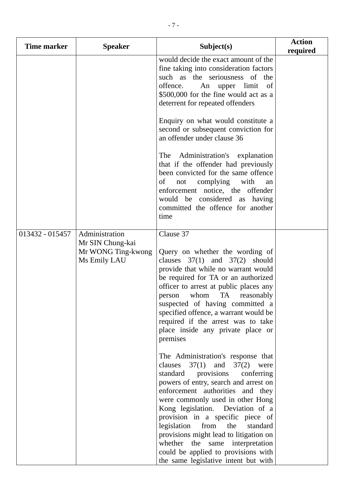| <b>Time marker</b> | <b>Speaker</b>                                                           | Subject(s)                                                                                                                                                                                                                                                                                                                                                                                                                                                            | <b>Action</b><br>required |  |                                                                                                                                                                                                                                   |  |
|--------------------|--------------------------------------------------------------------------|-----------------------------------------------------------------------------------------------------------------------------------------------------------------------------------------------------------------------------------------------------------------------------------------------------------------------------------------------------------------------------------------------------------------------------------------------------------------------|---------------------------|--|-----------------------------------------------------------------------------------------------------------------------------------------------------------------------------------------------------------------------------------|--|
|                    |                                                                          |                                                                                                                                                                                                                                                                                                                                                                                                                                                                       |                           |  | would decide the exact amount of the<br>fine taking into consideration factors<br>such as the seriousness of the<br>offence.<br>An upper limit<br>of<br>\$500,000 for the fine would act as a<br>deterrent for repeated offenders |  |
|                    |                                                                          | Enquiry on what would constitute a<br>second or subsequent conviction for<br>an offender under clause 36                                                                                                                                                                                                                                                                                                                                                              |                           |  |                                                                                                                                                                                                                                   |  |
|                    |                                                                          | The Administration's explanation<br>that if the offender had previously<br>been convicted for the same offence<br>οf<br>complying<br>with<br>not<br>an<br>enforcement notice, the offender<br>would be considered as having<br>committed the offence for another<br>time                                                                                                                                                                                              |                           |  |                                                                                                                                                                                                                                   |  |
| 013432 - 015457    | Administration<br>Mr SIN Chung-kai<br>Mr WONG Ting-kwong<br>Ms Emily LAU | Clause 37<br>Query on whether the wording of<br>clauses $37(1)$ and $37(2)$ should<br>provide that while no warrant would<br>be required for TA or an authorized<br>officer to arrest at public places any<br>TA<br>whom<br>reasonably<br>person<br>suspected of having committed a<br>specified offence, a warrant would be<br>required if the arrest was to take<br>place inside any private place or<br>premises<br>The Administration's response that             |                           |  |                                                                                                                                                                                                                                   |  |
|                    |                                                                          | clauses<br>37(1)<br>and $37(2)$<br>were<br>standard provisions conferring<br>powers of entry, search and arrest on<br>enforcement authorities and they<br>were commonly used in other Hong<br>Kong legislation. Deviation of a<br>provision in a specific piece of<br>legislation from<br>the<br>standard<br>provisions might lead to litigation on<br>whether the same interpretation<br>could be applied to provisions with<br>the same legislative intent but with |                           |  |                                                                                                                                                                                                                                   |  |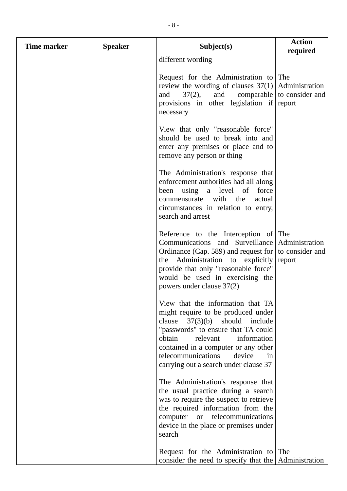| <b>Time marker</b> | <b>Speaker</b> | Subject(s)                                                                                                                                                                                                                                                                                                     | <b>Action</b><br>required                            |
|--------------------|----------------|----------------------------------------------------------------------------------------------------------------------------------------------------------------------------------------------------------------------------------------------------------------------------------------------------------------|------------------------------------------------------|
|                    |                | different wording                                                                                                                                                                                                                                                                                              |                                                      |
|                    |                | Request for the Administration to The<br>review the wording of clauses $37(1)$<br>$37(2)$ ,<br>and<br>and<br>provisions in other legislation if report<br>necessary                                                                                                                                            | Administration<br>comparable $\vert$ to consider and |
|                    |                | View that only "reasonable force"<br>should be used to break into and<br>enter any premises or place and to<br>remove any person or thing                                                                                                                                                                      |                                                      |
|                    |                | The Administration's response that<br>enforcement authorities had all along<br>been using a level of<br>force<br>commensurate with the<br>actual<br>circumstances in relation to entry,<br>search and arrest                                                                                                   |                                                      |
|                    |                | Reference to the Interception of The<br>Communications and Surveillance<br>Ordinance (Cap. 589) and request for $\vert$ to consider and<br>Administration to explicitly<br>the<br>provide that only "reasonable force"<br>would be used in exercising the<br>powers under clause 37(2)                         | Administration<br>report                             |
|                    |                | View that the information that TA<br>might require to be produced under<br>clause $37(3)(b)$ should include<br>"passwords" to ensure that TA could<br>obtain<br>information<br>relevant<br>contained in a computer or any other<br>telecommunications<br>device<br>in<br>carrying out a search under clause 37 |                                                      |
|                    |                | The Administration's response that<br>the usual practice during a search<br>was to require the suspect to retrieve<br>the required information from the<br>computer or telecommunications<br>device in the place or premises under<br>search                                                                   |                                                      |
|                    |                | Request for the Administration to The<br>consider the need to specify that the                                                                                                                                                                                                                                 | Administration                                       |